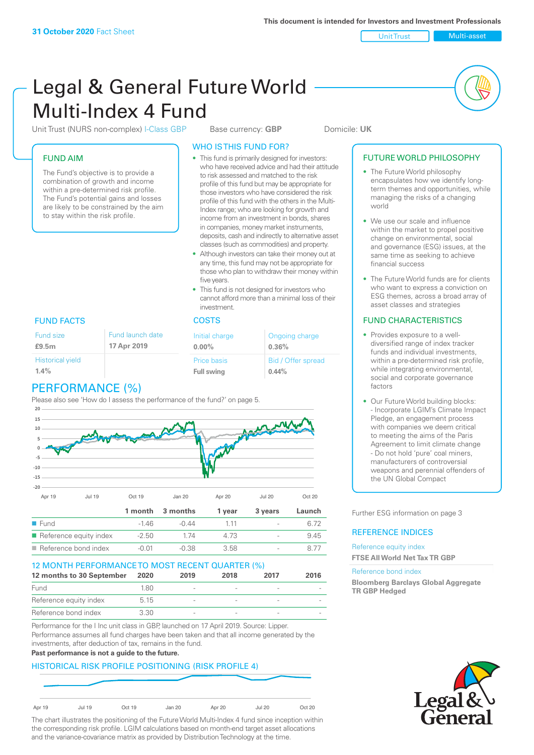Unit Trust Nulti-asset

# Legal & General Future World Multi-Index 4 Fund

Unit Trust (NURS non-complex) I-Class GBP Base currency: **GBP** Domicile: UK

## FUND AIM

The Fund's objective is to provide a combination of growth and income within a pre-determined risk profile. The Fund's potential gains and losses are likely to be constrained by the aim to stay within the risk profile.

### WHO IS THIS FUND FOR?

- This fund is primarily designed for investors: who have received advice and had their attitude to risk assessed and matched to the risk profile of this fund but may be appropriate for those investors who have considered the risk profile of this fund with the others in the Multi-Index range; who are looking for growth and income from an investment in bonds, shares in companies, money market instruments, deposits, cash and indirectly to alternative asset classes (such as commodities) and property.
- Although investors can take their money out at any time, this fund may not be appropriate for those who plan to withdraw their money within five years.
- This fund is not designed for investors who cannot afford more than a minimal loss of their investment.

### FUND FACTS COSTS

| Fund size               | Fund launch date | Initial charge    | Ongoing charge     |  |
|-------------------------|------------------|-------------------|--------------------|--|
| £9.5m                   | 17 Apr 2019      | $0.00\%$          | 0.36%              |  |
| <b>Historical yield</b> |                  | Price basis       | Bid / Offer spread |  |
| 1.4%                    |                  | <b>Full swing</b> | $0.44\%$           |  |

# PERFORMANCE (%)

Please also see 'How do I assess the performance of the fund?' on page 5.



## Reference bond index  $-0.01$   $-0.38$   $3.58$   $-$  8.77 12 MONTH PERFORMANCE TO MOST RECENT QUARTER (%) **12 months to 30 September 2020 2019 2018 2017 2016**

| <b>EXAMPLE 1110110113</b> to 30 Ocptember | ▁▁◡∠◡ | ---                      | <u>_viv</u> | $-1$           | <u>_viv</u> |
|-------------------------------------------|-------|--------------------------|-------------|----------------|-------------|
| Fund                                      | 1.80  | $\overline{\phantom{a}}$ |             |                |             |
| Reference equity index                    | 5.15  | $\overline{\phantom{a}}$ |             |                |             |
| Reference bond index                      | 3.30  | $\overline{\phantom{a}}$ |             | $\overline{a}$ |             |

Performance for the I Inc unit class in GBP, launched on 17 April 2019. Source: Lipper. Performance assumes all fund charges have been taken and that all income generated by the investments, after deduction of tax, remains in the fund.

#### **Past performance is not a guide to the future.**

## HISTORICAL RISK PROFILE POSITIONING (RISK PROFILE 4)



The chart illustrates the positioning of the Future World Multi-Index 4 fund since inception within the corresponding risk profile. LGIM calculations based on month-end target asset allocations and the variance-covariance matrix as provided by Distribution Technology at the time.

#### FUTURE WORLD PHILOSOPHY

- The Future World philosophy encapsulates how we identify longterm themes and opportunities, while managing the risks of a changing world
- We use our scale and influence within the market to propel positive change on environmental, social and governance (ESG) issues, at the same time as seeking to achieve financial success
- The Future World funds are for clients who want to express a conviction on ESG themes, across a broad array of asset classes and strategies

### FUND CHARACTERISTICS

- Provides exposure to a welldiversified range of index tracker funds and individual investments, within a pre-determined risk profile while integrating environmental, social and corporate governance factors
- Our Future World building blocks: - Incorporate LGIM's Climate Impact Pledge, an engagement process with companies we deem critical to meeting the aims of the Paris Agreement to limit climate change - Do not hold 'pure' coal miners, manufacturers of controversial weapons and perennial offenders of the UN Global Compact

Further ESG information on page 3

#### REFERENCE INDICES

#### Reference equity index **FTSE All World Net Tax TR GBP**

#### Reference bond index

**Bloomberg Barclays Global Aggregate TR GBP Hedged**

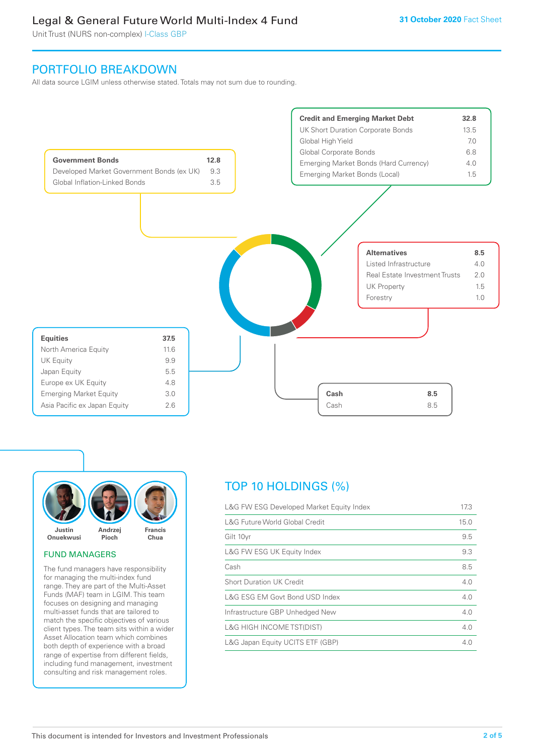Unit Trust (NURS non-complex) I-Class GBP

## PORTFOLIO BREAKDOWN

All data source LGIM unless otherwise stated. Totals may not sum due to rounding.





#### FUND MANAGERS

The fund managers have responsibility for managing the multi-index fund range. They are part of the Multi-Asset Funds (MAF) team in LGIM. This team focuses on designing and managing multi-asset funds that are tailored to match the specific objectives of various client types. The team sits within a wider Asset Allocation team which combines both depth of experience with a broad range of expertise from different fields, including fund management, investment consulting and risk management roles.

# TOP 10 HOLDINGS (%)

| L&G FW ESG Developed Market Equity Index | 17.3 |
|------------------------------------------|------|
| L&G Future World Global Credit           | 15.0 |
| Gilt 10yr                                | 9.5  |
| L&G FW ESG UK Equity Index               | 9.3  |
| Cash                                     | 8.5  |
| <b>Short Duration UK Credit</b>          | 4.0  |
| L&G ESG EM Govt Bond USD Index           | 4.0  |
| Infrastructure GBP Unhedged New          | 4.0  |
| <b>L&amp;G HIGH INCOME TST(DIST)</b>     | 4.0  |
| L&G Japan Equity UCITS ETF (GBP)         | 4 N  |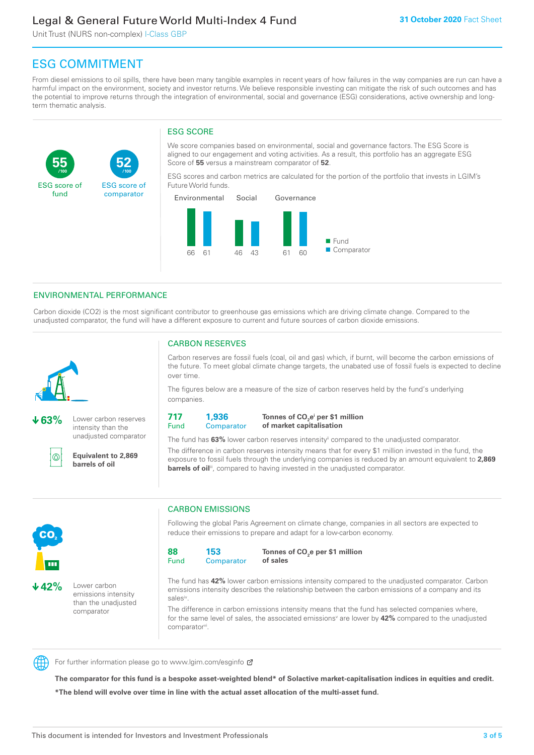Unit Trust (NURS non-complex) I-Class GBP

**52**

ESG score of comparator

# ESG COMMITMENT

**/100 /100**

From diesel emissions to oil spills, there have been many tangible examples in recent years of how failures in the way companies are run can have a harmful impact on the environment, society and investor returns. We believe responsible investing can mitigate the risk of such outcomes and has the potential to improve returns through the integration of environmental, social and governance (ESG) considerations, active ownership and longterm thematic analysis.

## ESG SCORE

We score companies based on environmental, social and governance factors. The ESG Score is aligned to our engagement and voting activities. As a result, this portfolio has an aggregate ESG Score of **55** versus a mainstream comparator of **52**.

ESG scores and carbon metrics are calculated for the portion of the portfolio that invests in LGIM's Future World funds.



## ENVIRONMENTAL PERFORMANCE

Carbon dioxide (CO2) is the most significant contributor to greenhouse gas emissions which are driving climate change. Compared to the unadjusted comparator, the fund will have a different exposure to current and future sources of carbon dioxide emissions.



**55**

ESG score of fund

**63%** Lower carbon reserves intensity than the unadjusted comparator

൹

CO<sub>2</sub>

**42%** Lower carbon

emissions intensity than the unadjusted comparator

**Equivalent to 2,869 barrels of oil**

## CARBON RESERVES

Carbon reserves are fossil fuels (coal, oil and gas) which, if burnt, will become the carbon emissions of the future. To meet global climate change targets, the unabated use of fossil fuels is expected to decline over time.

The figures below are a measure of the size of carbon reserves held by the fund's underlying companies.

**717** Fund **1,936 Comparator** 

**Tonnes of CO2 ei per \$1 million of market capitalisation**

The fund has **63%** lower carbon reserves intensityii compared to the unadjusted comparator. The difference in carbon reserves intensity means that for every \$1 million invested in the fund, the exposure to fossil fuels through the underlying companies is reduced by an amount equivalent to **2,869 barrels of oil**<sup>iii</sup>, compared to having invested in the unadjusted comparator.



Following the global Paris Agreement on climate change, companies in all sectors are expected to reduce their emissions to prepare and adapt for a low-carbon economy.

**88** Fund **153 Comparator** 

**Tonnes of CO2 e per \$1 million of sales**

The fund has **42%** lower carbon emissions intensity compared to the unadjusted comparator. Carbon emissions intensity describes the relationship between the carbon emissions of a company and its salesiv

The difference in carbon emissions intensity means that the fund has selected companies where, for the same level of sales, the associated emissions<sup>v</sup> are lower by **42%** compared to the unadjusted comparator<sup>vi</sup>.



For further information please go to www.lgim.com/esginfo Ø

**The comparator for this fund is a bespoke asset-weighted blend\* of Solactive market-capitalisation indices in equities and credit. \*The blend will evolve over time in line with the actual asset allocation of the multi-asset fund.**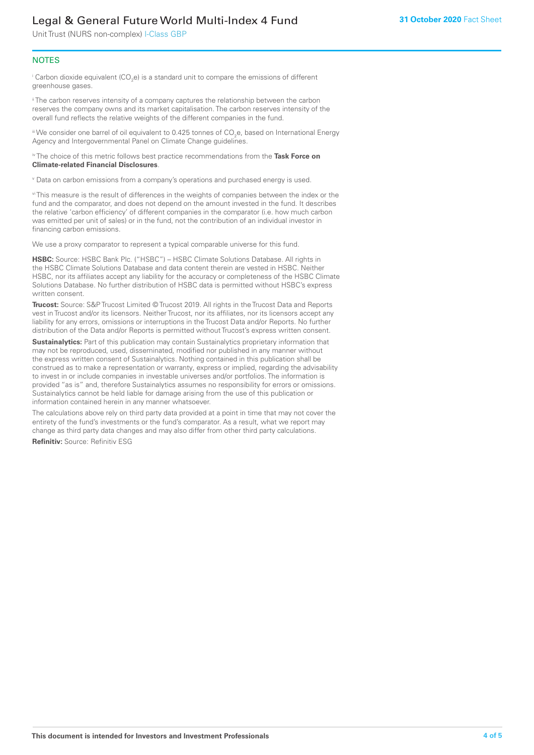Unit Trust (NURS non-complex) I-Class GBP

#### **NOTES**

 $^\mathrm{i}$  Carbon dioxide equivalent (CO<sub>2</sub>e) is a standard unit to compare the emissions of different greenhouse gases.

<sup>ii</sup> The carbon reserves intensity of a company captures the relationship between the carbon reserves the company owns and its market capitalisation. The carbon reserves intensity of the overall fund reflects the relative weights of the different companies in the fund.

iii We consider one barrel of oil equivalent to 0.425 tonnes of CO<sub>2</sub>e, based on International Energy Agency and Intergovernmental Panel on Climate Change guidelines.

#### iv The choice of this metric follows best practice recommendations from the **Task Force on Climate-related Financial Disclosures**.

v Data on carbon emissions from a company's operations and purchased energy is used.

vi This measure is the result of differences in the weights of companies between the index or the fund and the comparator, and does not depend on the amount invested in the fund. It describes the relative 'carbon efficiency' of different companies in the comparator (i.e. how much carbon was emitted per unit of sales) or in the fund, not the contribution of an individual investor in financing carbon emissions.

We use a proxy comparator to represent a typical comparable universe for this fund.

**HSBC:** Source: HSBC Bank Plc. ("HSBC") – HSBC Climate Solutions Database. All rights in the HSBC Climate Solutions Database and data content therein are vested in HSBC. Neither HSBC, nor its affiliates accept any liability for the accuracy or completeness of the HSBC Climate Solutions Database. No further distribution of HSBC data is permitted without HSBC's express written consent.

**Trucost:** Source: S&P Trucost Limited © Trucost 2019. All rights in the Trucost Data and Reports vest in Trucost and/or its licensors. Neither Trucost, nor its affiliates, nor its licensors accept any liability for any errors, omissions or interruptions in the Trucost Data and/or Reports. No further distribution of the Data and/or Reports is permitted without Trucost's express written consent.

**Sustainalytics:** Part of this publication may contain Sustainalytics proprietary information that may not be reproduced, used, disseminated, modified nor published in any manner without the express written consent of Sustainalytics. Nothing contained in this publication shall be construed as to make a representation or warranty, express or implied, regarding the advisability to invest in or include companies in investable universes and/or portfolios. The information is provided "as is" and, therefore Sustainalytics assumes no responsibility for errors or omissions. Sustainalytics cannot be held liable for damage arising from the use of this publication or information contained herein in any manner whatsoever.

The calculations above rely on third party data provided at a point in time that may not cover the entirety of the fund's investments or the fund's comparator. As a result, what we report may change as third party data changes and may also differ from other third party calculations.

**Refinitiv:** Source: Refinitiv ESG